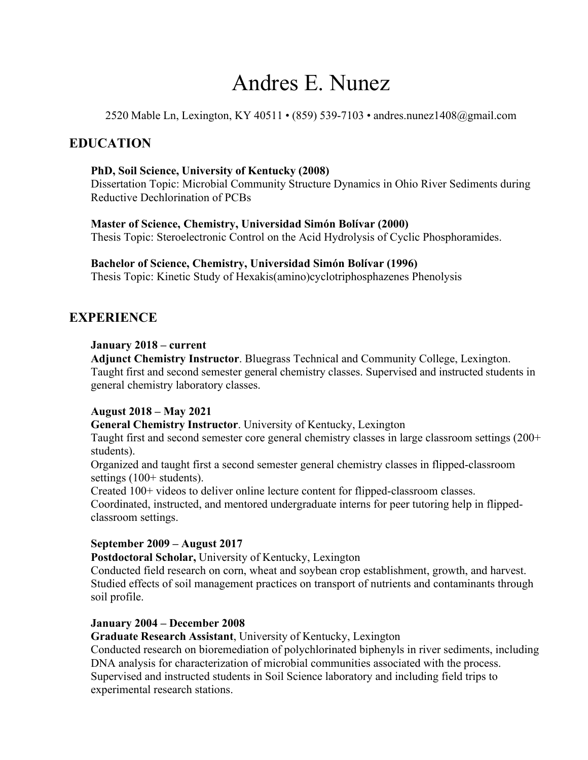# Andres E. Nunez

2520 Mable Ln, Lexington, KY 40511 • (859) 539-7103 • [andres.nunez1408@gmail.com](mailto:andres.nunez1408@gmail.com)

# **EDUCATION**

#### **PhD, Soil Science, University of Kentucky (2008)**

Dissertation Topic: Microbial Community Structure Dynamics in Ohio River Sediments during Reductive Dechlorination of PCBs

#### **Master of Science, Chemistry, Universidad Simón Bolívar (2000)**

Thesis Topic: Steroelectronic Control on the Acid Hydrolysis of Cyclic Phosphoramides.

#### **Bachelor of Science, Chemistry, Universidad Simón Bolívar (1996)**

Thesis Topic: Kinetic Study of Hexakis(amino)cyclotriphosphazenes Phenolysis

# **EXPERIENCE**

#### **January 2018 – current**

**Adjunct Chemistry Instructor**. Bluegrass Technical and Community College, Lexington. Taught first and second semester general chemistry classes. Supervised and instructed students in general chemistry laboratory classes.

## **August 2018 – May 2021**

**General Chemistry Instructor**. University of Kentucky, Lexington

Taught first and second semester core general chemistry classes in large classroom settings (200+ students).

Organized and taught first a second semester general chemistry classes in flipped-classroom settings (100+ students).

Created 100+ videos to deliver online lecture content for flipped-classroom classes.

Coordinated, instructed, and mentored undergraduate interns for peer tutoring help in flippedclassroom settings.

## **September 2009 – August 2017**

**Postdoctoral Scholar,** University of Kentucky, Lexington

Conducted field research on corn, wheat and soybean crop establishment, growth, and harvest. Studied effects of soil management practices on transport of nutrients and contaminants through soil profile.

## **January 2004 – December 2008**

**Graduate Research Assistant**, University of Kentucky, Lexington

Conducted research on bioremediation of polychlorinated biphenyls in river sediments, including DNA analysis for characterization of microbial communities associated with the process. Supervised and instructed students in Soil Science laboratory and including field trips to experimental research stations.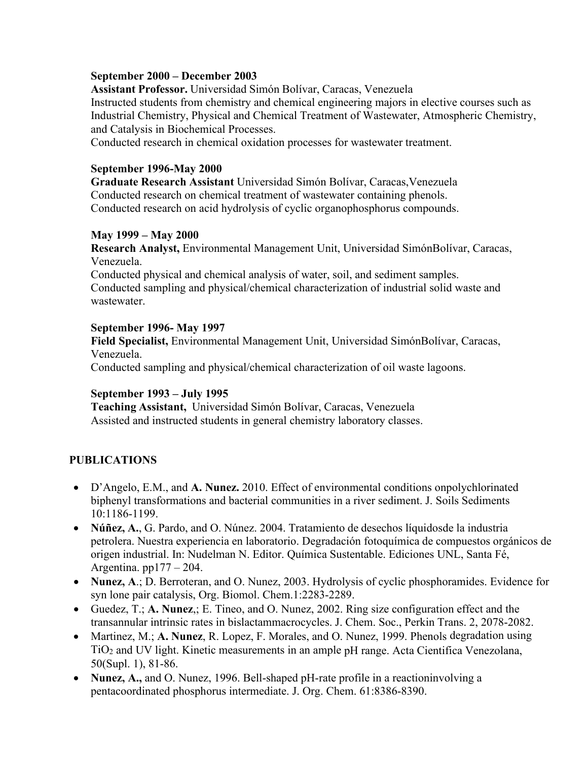## **September 2000 – December 2003**

**Assistant Professor.** Universidad Simón Bolívar, Caracas, Venezuela

Instructed students from chemistry and chemical engineering majors in elective courses such as Industrial Chemistry, Physical and Chemical Treatment of Wastewater, Atmospheric Chemistry, and Catalysis in Biochemical Processes.

Conducted research in chemical oxidation processes for wastewater treatment.

## **September 1996-May 2000**

**Graduate Research Assistant** Universidad Simón Bolívar, Caracas,Venezuela Conducted research on chemical treatment of wastewater containing phenols. Conducted research on acid hydrolysis of cyclic organophosphorus compounds.

# **May 1999 – May 2000**

**Research Analyst,** Environmental Management Unit, Universidad SimónBolívar, Caracas, Venezuela.

Conducted physical and chemical analysis of water, soil, and sediment samples. Conducted sampling and physical/chemical characterization of industrial solid waste and wastewater.

## **September 1996- May 1997**

**Field Specialist,** Environmental Management Unit, Universidad SimónBolívar, Caracas, Venezuela.

Conducted sampling and physical/chemical characterization of oil waste lagoons.

# **September 1993 – July 1995**

**Teaching Assistant,** Universidad Simón Bolívar, Caracas, Venezuela Assisted and instructed students in general chemistry laboratory classes.

# **PUBLICATIONS**

- D'Angelo, E.M., and **A. Nunez.** 2010. Effect of environmental conditions onpolychlorinated biphenyl transformations and bacterial communities in a river sediment. J. Soils Sediments 10:1186-1199.
- **Núñez, A.**, G. Pardo, and O. Núnez. 2004. Tratamiento de desechos líquidosde la industria petrolera. Nuestra experiencia en laboratorio. Degradación fotoquímica de compuestos orgánicos de origen industrial. In: Nudelman N. Editor. Química Sustentable. Ediciones UNL, Santa Fé, Argentina. pp177 – 204.
- **Nunez, A**.; D. Berroteran, and O. Nunez, 2003. Hydrolysis of cyclic phosphoramides. Evidence for syn lone pair catalysis, Org. Biomol. Chem.1:2283-2289.
- Guedez, T.; **A. Nunez**,; E. Tineo, and O. Nunez, 2002. Ring size configuration effect and the transannular intrinsic rates in bislactammacrocycles. J. Chem. Soc., Perkin Trans. 2, 2078-2082.
- Martinez, M.; **A. Nunez**, R. Lopez, F. Morales, and O. Nunez, 1999. Phenols degradation using TiO2 and UV light. Kinetic measurements in an ample pH range. Acta Cientifica Venezolana, 50(Supl. 1), 81-86.
- **Nunez, A., and O. Nunez, 1996. Bell-shaped pH-rate profile in a reactioninvolving a** pentacoordinated phosphorus intermediate. J. Org. Chem. 61:8386-8390.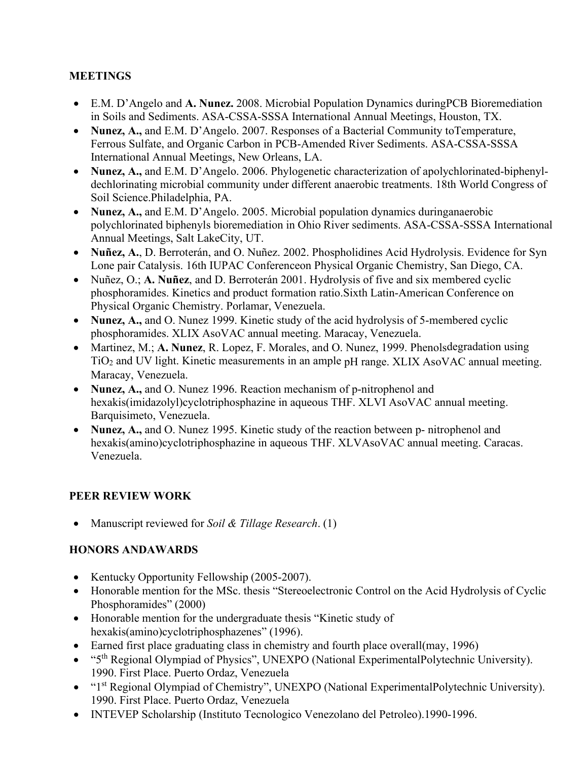# **MEETINGS**

- E.M. D'Angelo and **A. Nunez.** 2008. Microbial Population Dynamics duringPCB Bioremediation in Soils and Sediments. ASA-CSSA-SSSA International Annual Meetings, Houston, TX.
- **Nunez, A., and E.M. D'Angelo. 2007. Responses of a Bacterial Community to Temperature,** Ferrous Sulfate, and Organic Carbon in PCB-Amended River Sediments. ASA-CSSA-SSSA International Annual Meetings, New Orleans, LA.
- **Nunez, A., and E.M. D'Angelo. 2006. Phylogenetic characterization of apolychlorinated-biphenyl**dechlorinating microbial community under different anaerobic treatments. 18th World Congress of Soil Science.Philadelphia, PA.
- **Nunez, A., and E.M. D'Angelo. 2005. Microbial population dynamics duringanaerobic** polychlorinated biphenyls bioremediation in Ohio River sediments. ASA-CSSA-SSSA International Annual Meetings, Salt LakeCity, UT.
- **Nuñez, A.**, D. Berroterán, and O. Nuñez. 2002. Phospholidines Acid Hydrolysis. Evidence for Syn Lone pair Catalysis. 16th IUPAC Conferenceon Physical Organic Chemistry, San Diego, CA.
- Nuñez, O.; **A. Nuñez**, and D. Berroterán 2001. Hydrolysis of five and six membered cyclic phosphoramides. Kinetics and product formation ratio.Sixth Latin-American Conference on Physical Organic Chemistry. Porlamar, Venezuela.
- **Nunez, A., and O. Nunez 1999. Kinetic study of the acid hydrolysis of 5-membered cyclic** phosphoramides. XLIX AsoVAC annual meeting. Maracay, Venezuela.
- Martinez, M.; **A. Nunez**, R. Lopez, F. Morales, and O. Nunez, 1999. Phenolsdegradation using TiO2 and UV light. Kinetic measurements in an ample pH range. XLIX AsoVAC annual meeting. Maracay, Venezuela.
- **Nunez, A., and O. Nunez 1996. Reaction mechanism of p-nitrophenol and** hexakis(imidazolyl)cyclotriphosphazine in aqueous THF. XLVI AsoVAC annual meeting. Barquisimeto, Venezuela.
- **Nunez, A., and O. Nunez 1995. Kinetic study of the reaction between p- nitrophenol and** hexakis(amino)cyclotriphosphazine in aqueous THF. XLVAsoVAC annual meeting. Caracas. Venezuela.

# **PEER REVIEW WORK**

• Manuscript reviewed for *Soil & Tillage Research*. (1)

# **HONORS ANDAWARDS**

- Kentucky Opportunity Fellowship (2005-2007).
- Honorable mention for the MSc. thesis "Stereoelectronic Control on the Acid Hydrolysis of Cyclic Phosphoramides" (2000)
- Honorable mention for the undergraduate thesis "Kinetic study of hexakis(amino)cyclotriphosphazenes" (1996).
- Earned first place graduating class in chemistry and fourth place overall (may, 1996)
- "5<sup>th</sup> Regional Olympiad of Physics", UNEXPO (National ExperimentalPolytechnic University). 1990. First Place. Puerto Ordaz, Venezuela
- "1st Regional Olympiad of Chemistry", UNEXPO (National ExperimentalPolytechnic University). 1990. First Place. Puerto Ordaz, Venezuela
- INTEVEP Scholarship (Instituto Tecnologico Venezolano del Petroleo).1990-1996.